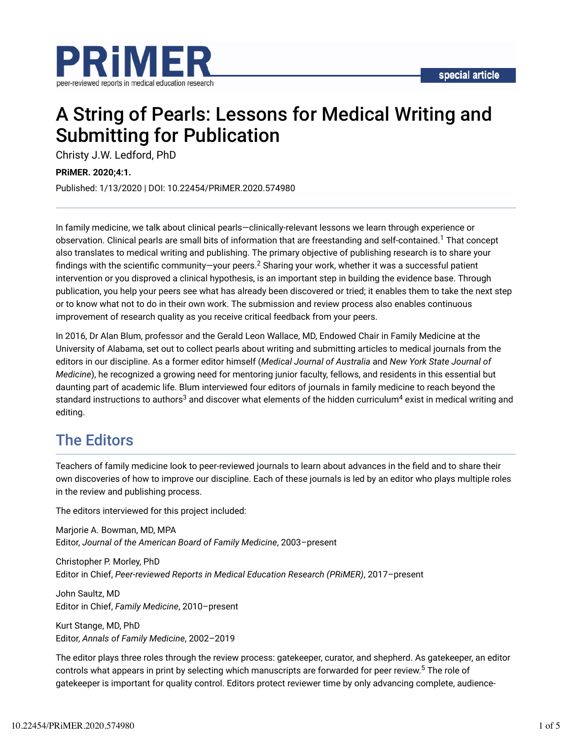

# A String of Pearls: Lessons for Medical Writing and Submitting for Publication

Christy J.W. Ledford, PhD

**PRiMER. 2020;4:1.**

Published: 1/13/2020 | DOI: 10.22454/PRiMER.2020.574980

In family medicine, we talk about clinical pearls—clinically-relevant lessons we learn through experience or observation. Clinical pearls are small bits of information that are freestanding and self-contained.<sup>1</sup> That concept also translates to medical writing and publishing. The primary objective of publishing research is to share your findings with the scientific community—your peers. $^2$  Sharing your work, whether it was a successful patient intervention or you disproved a clinical hypothesis, is an important step in building the evidence base. Through publication, you help your peers see what has already been discovered or tried; it enables them to take the next step or to know what not to do in their own work. The submission and review process also enables continuous improvement of research quality as you receive critical feedback from your peers.

In 2016, Dr Alan Blum, professor and the Gerald Leon Wallace, MD, Endowed Chair in Family Medicine at the University of Alabama, set out to collect pearls about writing and submitting articles to medical journals from the editors in our discipline. As a former editor himself (*Medical Journal of Australia* and *New York State Journal of Medicine*), he recognized a growing need for mentoring junior faculty, fellows, and residents in this essential but daunting part of academic life. Blum interviewed four editors of journals in family medicine to reach beyond the standard instructions to authors $^3$  and discover what elements of the hidden curriculum $^4$  exist in medical writing and editing.

### The Editors

Teachers of family medicine look to peer-reviewed journals to learn about advances in the field and to share their own discoveries of how to improve our discipline. Each of these journals is led by an editor who plays multiple roles in the review and publishing process.

The editors interviewed for this project included:

Marjorie A. Bowman, MD, MPA Editor, *Journal of the American Board of Family Medicine*, 2003–present

Christopher P. Morley, PhD Editor in Chief, *Peer-reviewed Reports in Medical Education Research (PRiMER)*, 2017–present

John Saultz, MD Editor in Chief, *Family Medicine*, 2010–present

Kurt Stange, MD, PhD Editor, *Annals of Family Medicine*, 2002–2019

The editor plays three roles through the review process: gatekeeper, curator, and shepherd. As gatekeeper, an editor controls what appears in print by selecting which manuscripts are forwarded for peer review.<sup>5</sup> The role of gatekeeper is important for quality control. Editors protect reviewer time by only advancing complete, audience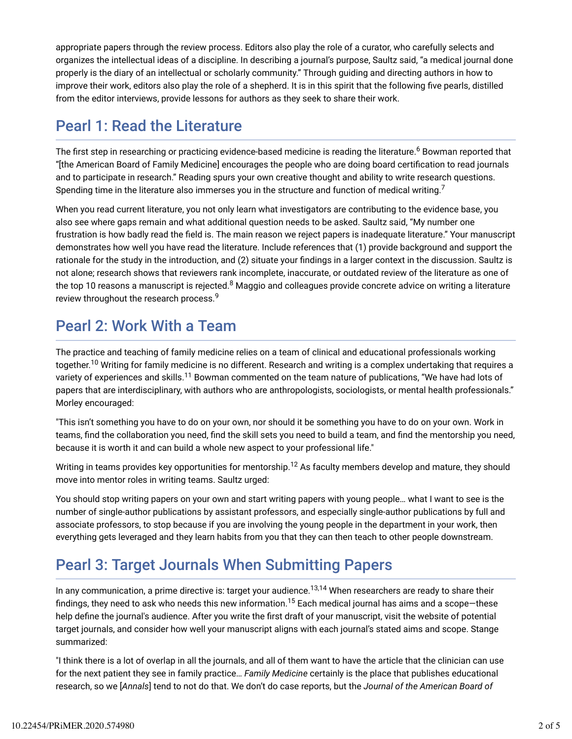appropriate papers through the review process. Editors also play the role of a curator, who carefully selects and organizes the intellectual ideas of a discipline. In describing a journal's purpose, Saultz said, "a medical journal done properly is the diary of an intellectual or scholarly community." Through guiding and directing authors in how to improve their work, editors also play the role of a shepherd. It is in this spirit that the following five pearls, distilled from the editor interviews, provide lessons for authors as they seek to share their work.

### Pearl 1: Read the Literature

The first step in researching or practicing evidence-based medicine is reading the literature.<sup>6</sup> Bowman reported that "[the American Board of Family Medicine] encourages the people who are doing board certification to read journals and to participate in research." Reading spurs your own creative thought and ability to write research questions. Spending time in the literature also immerses you in the structure and function of medical writing.<sup>7</sup>

When you read current literature, you not only learn what investigators are contributing to the evidence base, you also see where gaps remain and what additional question needs to be asked. Saultz said, "My number one frustration is how badly read the field is. The main reason we reject papers is inadequate literature." Your manuscript demonstrates how well you have read the literature. Include references that (1) provide background and support the rationale for the study in the introduction, and (2) situate your findings in a larger context in the discussion. Saultz is not alone; research shows that reviewers rank incomplete, inaccurate, or outdated review of the literature as one of the top 10 reasons a manuscript is rejected.<sup>8</sup> Maggio and colleagues provide concrete advice on writing a literature review throughout the research process.<sup>9</sup>

# Pearl 2: Work With a Team

The practice and teaching of family medicine relies on a team of clinical and educational professionals working together.<sup>10</sup> Writing for family medicine is no different. Research and writing is a complex undertaking that requires a variety of experiences and skills.<sup>11</sup> Bowman commented on the team nature of publications, "We have had lots of papers that are interdisciplinary, with authors who are anthropologists, sociologists, or mental health professionals." Morley encouraged:

"This isn't something you have to do on your own, nor should it be something you have to do on your own. Work in teams, find the collaboration you need, find the skill sets you need to build a team, and find the mentorship you need, because it is worth it and can build a whole new aspect to your professional life."

Writing in teams provides key opportunities for mentorship. $^{12}$  As faculty members develop and mature, they should move into mentor roles in writing teams. Saultz urged:

You should stop writing papers on your own and start writing papers with young people… what I want to see is the number of single-author publications by assistant professors, and especially single-author publications by full and associate professors, to stop because if you are involving the young people in the department in your work, then everything gets leveraged and they learn habits from you that they can then teach to other people downstream.

# Pearl 3: Target Journals When Submitting Papers

In any communication, a prime directive is: target your audience.<sup>13,14</sup> When researchers are ready to share their findings, they need to ask who needs this new information. $^{15}$  Each medical journal has aims and a scope—these help define the journal's audience. After you write the first draft of your manuscript, visit the website of potential target journals, and consider how well your manuscript aligns with each journal's stated aims and scope. Stange summarized:

"I think there is a lot of overlap in all the journals, and all of them want to have the article that the clinician can use for the next patient they see in family practice… *Family Medicine* certainly is the place that publishes educational research, so we [*Annals*] tend to not do that. We don't do case reports, but the *Journal of the American Board of*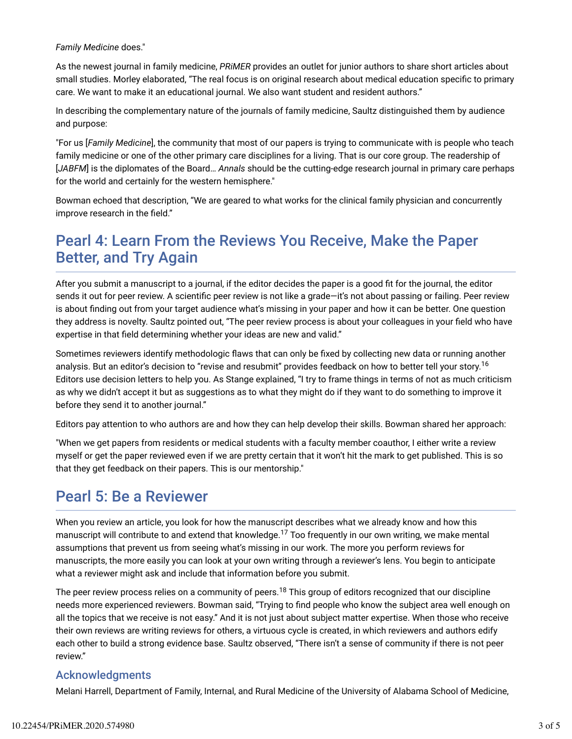#### *Family Medicine* does."

As the newest journal in family medicine, *PRiMER* provides an outlet for junior authors to share short articles about small studies. Morley elaborated, "The real focus is on original research about medical education specific to primary care. We want to make it an educational journal. We also want student and resident authors."

In describing the complementary nature of the journals of family medicine, Saultz distinguished them by audience and purpose:

"For us [*Family Medicine*], the community that most of our papers is trying to communicate with is people who teach family medicine or one of the other primary care disciplines for a living. That is our core group. The readership of [*JABFM*] is the diplomates of the Board… *Annals* should be the cutting-edge research journal in primary care perhaps for the world and certainly for the western hemisphere."

Bowman echoed that description, "We are geared to what works for the clinical family physician and concurrently improve research in the field."

## Pearl 4: Learn From the Reviews You Receive, Make the Paper Better, and Try Again

After you submit a manuscript to a journal, if the editor decides the paper is a good fit for the journal, the editor sends it out for peer review. A scientific peer review is not like a grade-it's not about passing or failing. Peer review is about finding out from your target audience what's missing in your paper and how it can be better. One question they address is novelty. Saultz pointed out, "The peer review process is about your colleagues in your field who have expertise in that field determining whether your ideas are new and valid."

Sometimes reviewers identify methodologic flaws that can only be fixed by collecting new data or running another analysis. But an editor's decision to "revise and resubmit" provides feedback on how to better tell your story.<sup>16</sup> Editors use decision letters to help you. As Stange explained, "I try to frame things in terms of not as much criticism as why we didn't accept it but as suggestions as to what they might do if they want to do something to improve it before they send it to another journal."

Editors pay attention to who authors are and how they can help develop their skills. Bowman shared her approach:

"When we get papers from residents or medical students with a faculty member coauthor, I either write a review myself or get the paper reviewed even if we are pretty certain that it won't hit the mark to get published. This is so that they get feedback on their papers. This is our mentorship."

### Pearl 5: Be a Reviewer

When you review an article, you look for how the manuscript describes what we already know and how this manuscript will contribute to and extend that knowledge. $^{17}$  Too frequently in our own writing, we make mental assumptions that prevent us from seeing what's missing in our work. The more you perform reviews for manuscripts, the more easily you can look at your own writing through a reviewer's lens. You begin to anticipate what a reviewer might ask and include that information before you submit.

The peer review process relies on a community of peers. $^{18}$  This group of editors recognized that our discipline needs more experienced reviewers. Bowman said, "Trying to find people who know the subject area well enough on all the topics that we receive is not easy." And it is not just about subject matter expertise. When those who receive their own reviews are writing reviews for others, a virtuous cycle is created, in which reviewers and authors edify each other to build a strong evidence base. Saultz observed, "There isn't a sense of community if there is not peer review."

#### Acknowledgments

Melani Harrell, Department of Family, Internal, and Rural Medicine of the University of Alabama School of Medicine,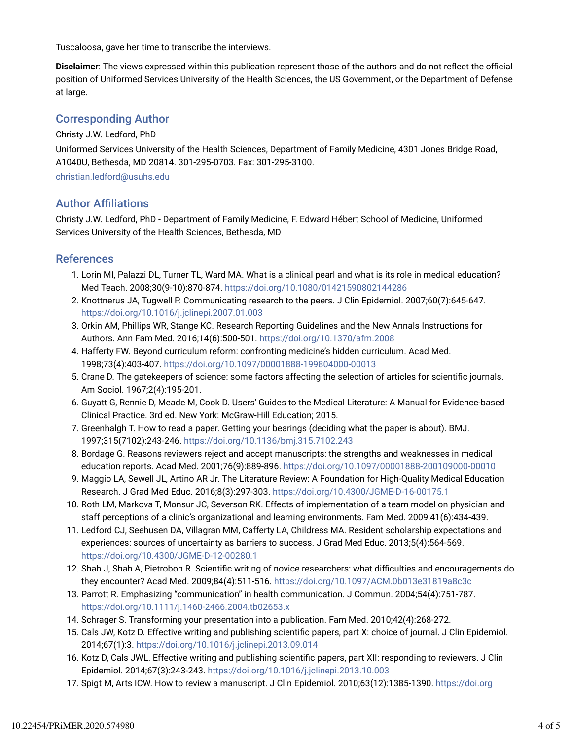Tuscaloosa, gave her time to transcribe the interviews.

**Disclaimer**: The views expressed within this publication represent those of the authors and do not reflect the official position of Uniformed Services University of the Health Sciences, the US Government, or the Department of Defense at large.

#### Corresponding Author

Christy J.W. Ledford, PhD

Uniformed Services University of the Health Sciences, Department of Family Medicine, 4301 Jones Bridge Road, A1040U, Bethesda, MD 20814. 301-295-0703. Fax: 301-295-3100.

christian.ledford@usuhs.edu

#### **Author Affiliations**

Christy J.W. Ledford, PhD - Department of Family Medicine, F. Edward Hébert School of Medicine, Uniformed Services University of the Health Sciences, Bethesda, MD

#### References

- 1. Lorin MI, Palazzi DL, Turner TL, Ward MA. What is a clinical pearl and what is its role in medical education? Med Teach. 2008;30(9-10):870-874. https://doi.org/10.1080/01421590802144286
- 2. Knottnerus JA, Tugwell P. Communicating research to the peers. J Clin Epidemiol. 2007;60(7):645-647. https://doi.org/10.1016/j.jclinepi.2007.01.003
- 3. Orkin AM, Phillips WR, Stange KC. Research Reporting Guidelines and the New Annals Instructions for Authors. Ann Fam Med. 2016;14(6):500-501. https://doi.org/10.1370/afm.2008
- 4. Hafferty FW. Beyond curriculum reform: confronting medicine's hidden curriculum. Acad Med. 1998;73(4):403-407. https://doi.org/10.1097/00001888-199804000-00013
- 5. Crane D. The gatekeepers of science: some factors affecting the selection of articles for scientific journals. Am Sociol. 1967;2(4):195-201.
- 6. Guyatt G, Rennie D, Meade M, Cook D. Users' Guides to the Medical Literature: A Manual for Evidence-based Clinical Practice. 3rd ed. New York: McGraw-Hill Education; 2015.
- 7. Greenhalgh T. How to read a paper. Getting your bearings (deciding what the paper is about). BMJ. 1997;315(7102):243-246. https://doi.org/10.1136/bmj.315.7102.243
- 8. Bordage G. Reasons reviewers reject and accept manuscripts: the strengths and weaknesses in medical education reports. Acad Med. 2001;76(9):889-896. https://doi.org/10.1097/00001888-200109000-00010
- 9. Maggio LA, Sewell JL, Artino AR Jr. The Literature Review: A Foundation for High-Quality Medical Education Research. J Grad Med Educ. 2016;8(3):297-303. https://doi.org/10.4300/JGME-D-16-00175.1
- 10. Roth LM, Markova T, Monsur JC, Severson RK. Effects of implementation of a team model on physician and staff perceptions of a clinic's organizational and learning environments. Fam Med. 2009;41(6):434-439.
- 11. Ledford CJ, Seehusen DA, Villagran MM, Cafferty LA, Childress MA. Resident scholarship expectations and experiences: sources of uncertainty as barriers to success. J Grad Med Educ. 2013;5(4):564-569. https://doi.org/10.4300/JGME-D-12-00280.1
- 12. Shah J, Shah A, Pietrobon R. Scientific writing of novice researchers: what difficulties and encouragements do they encounter? Acad Med. 2009;84(4):511-516. https://doi.org/10.1097/ACM.0b013e31819a8c3c
- 13. Parrott R. Emphasizing "communication" in health communication. J Commun. 2004;54(4):751-787. https://doi.org/10.1111/j.1460-2466.2004.tb02653.x
- 14. Schrager S. Transforming your presentation into a publication. Fam Med. 2010;42(4):268-272.
- 15. Cals JW, Kotz D. Effective writing and publishing scientific papers, part X: choice of journal. J Clin Epidemiol. 2014;67(1):3. https://doi.org/10.1016/j.jclinepi.2013.09.014
- 16. Kotz D, Cals JWL. Effective writing and publishing scientific papers, part XII: responding to reviewers. J Clin Epidemiol. 2014;67(3):243-243. https://doi.org/10.1016/j.jclinepi.2013.10.003
- 17. Spigt M, Arts ICW. How to review a manuscript. J Clin Epidemiol. 2010;63(12):1385-1390. https://doi.org